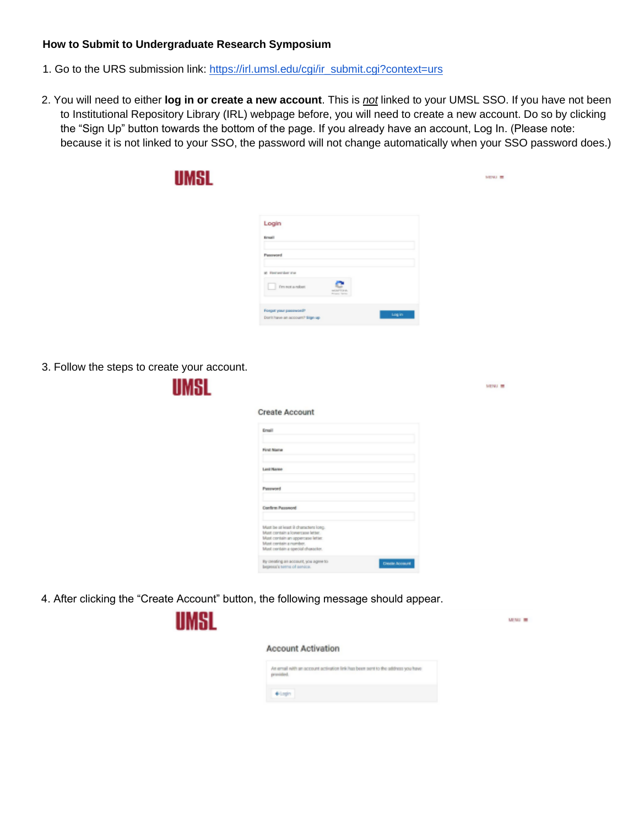## **How to Submit to Undergraduate Research Symposium**

- 1. Go to the URS submission link: https://irl.umsl.edu/cgi/ir\_submit.cgi?context=urs
- 2. You will need to either **log in or create a new account**. This is *not* linked to your UMSL SSO. If you have not been to Institutional Repository Library (IRL) webpage before, you will need to create a new account. Do so by clicking the "Sign Up" button towards the bottom of the page. If you already have an account, Log In. (Please note: because it is not linked to your SSO, the password will not change automatically when your SSO password does.)

| UMSL                                                                                           |                                                                                                                                                                               | MENJ III       |
|------------------------------------------------------------------------------------------------|-------------------------------------------------------------------------------------------------------------------------------------------------------------------------------|----------------|
|                                                                                                |                                                                                                                                                                               |                |
|                                                                                                | Login                                                                                                                                                                         |                |
|                                                                                                | <b>Ernall</b>                                                                                                                                                                 |                |
|                                                                                                | Pannword                                                                                                                                                                      |                |
|                                                                                                |                                                                                                                                                                               |                |
|                                                                                                | it forwarder me<br>I'm not a rober.                                                                                                                                           |                |
|                                                                                                | Forget your password?<br>Login<br>Don't have an account? Sign up                                                                                                              |                |
| 3. Follow the steps to create your account.<br>UMSL                                            |                                                                                                                                                                               | <b>MENU IM</b> |
|                                                                                                | Create Account                                                                                                                                                                |                |
|                                                                                                | <b>Email</b>                                                                                                                                                                  |                |
|                                                                                                | First Name                                                                                                                                                                    |                |
|                                                                                                | <b>Last Name</b>                                                                                                                                                              |                |
|                                                                                                | Password                                                                                                                                                                      |                |
|                                                                                                | Comfirm Password                                                                                                                                                              |                |
|                                                                                                | Must be at least il characters long.<br>Must contain a lowercase letter.<br>Must contain an appercase letter.<br>Must contain a number.<br>Music contain a special character. |                |
|                                                                                                | By creating an account, you agree to<br><b>Create Account</b><br>begessa's terms of service.                                                                                  |                |
| 4. After clicking the "Create Account" button, the following message should appear.<br><b></b> |                                                                                                                                                                               |                |

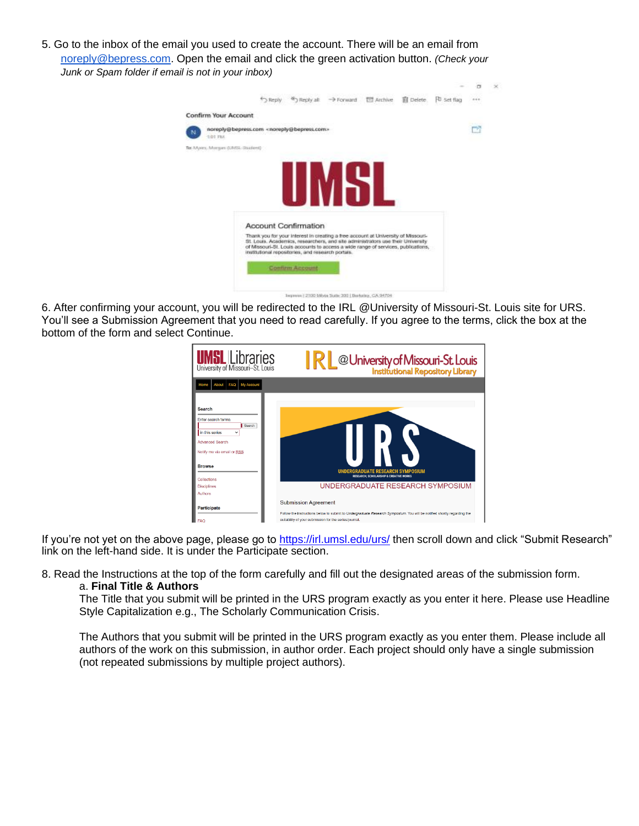5. Go to the inbox of the email you used to create the account. There will be an email from noreply@bepress.com. Open the email and click the green activation button. *(Check your Junk or Spam folder if email is not in your inbox)*



6. After confirming your account, you will be redirected to the IRL @University of Missouri-St. Louis site for URS. You'll see a Submission Agreement that you need to read carefully. If you agree to the terms, click the box at the bottom of the form and select Continue.



If you're not yet on the above page, please go to<https://irl.umsl.edu/urs/> then scroll down and click "Submit Research" link on the left-hand side. It is under the Participate section.

8. Read the Instructions at the top of the form carefully and fill out the designated areas of the submission form. a. **Final Title & Authors**

The Title that you submit will be printed in the URS program exactly as you enter it here. Please use Headline Style Capitalization e.g., The Scholarly Communication Crisis.

The Authors that you submit will be printed in the URS program exactly as you enter them. Please include all authors of the work on this submission, in author order. Each project should only have a single submission (not repeated submissions by multiple project authors).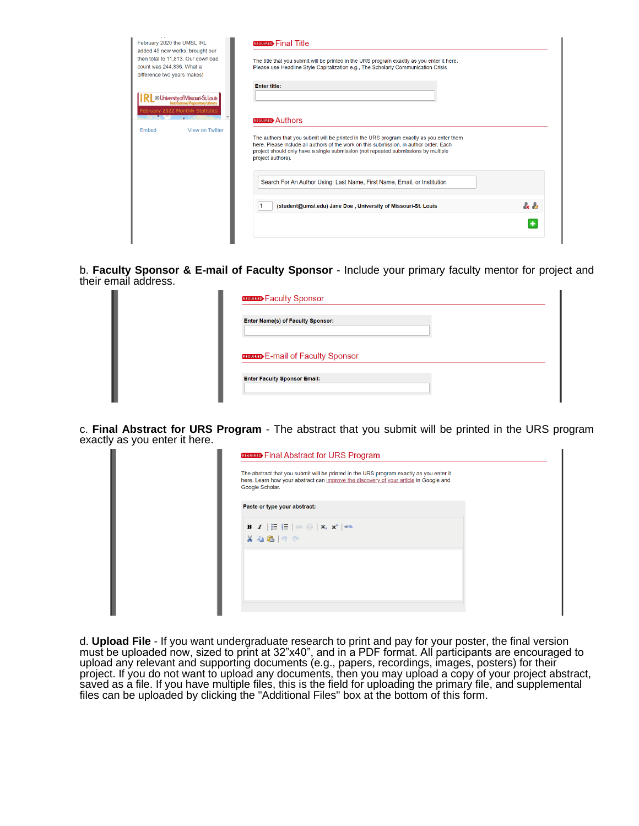| February 2020 the UMSL IRL<br>count was 244,836. What a<br>difference two years makes! | added 49 new works, brought our<br>then total to 11.813. Our download        | <b>REQUIRED</b> Final Title<br>The title that you submit will be printed in the URS program exactly as you enter it here.<br>Please use Headline Style Capitalization e.g., The Scholarly Communication Crisis                                                                                |               |
|----------------------------------------------------------------------------------------|------------------------------------------------------------------------------|-----------------------------------------------------------------------------------------------------------------------------------------------------------------------------------------------------------------------------------------------------------------------------------------------|---------------|
|                                                                                        | @University of Missouri-St. Louis<br><b>February 2022 Monthly Statistics</b> | <b>Enter title:</b><br><b>REQUIRED</b> Authors                                                                                                                                                                                                                                                |               |
| Embed                                                                                  | View on Twitter                                                              | The authors that you submit will be printed in the URS program exactly as you enter them<br>here. Please include all authors of the work on this submission, in author order. Each<br>project should only have a single submission (not repeated submissions by multiple<br>project authors). |               |
|                                                                                        |                                                                              | Search For An Author Using: Last Name, First Name, Email, or Institution                                                                                                                                                                                                                      |               |
|                                                                                        |                                                                              | (student@umsl.edu) Jane Doe, University of Missouri-St. Louis                                                                                                                                                                                                                                 | $\frac{2}{3}$ |
|                                                                                        |                                                                              |                                                                                                                                                                                                                                                                                               | ÷             |

b. **Faculty Sponsor & E-mail of Faculty Sponsor** - Include your primary faculty mentor for project and their email address.

| <b>Enter Name(s) of Faculty Sponsor:</b>  |  |  |
|-------------------------------------------|--|--|
|                                           |  |  |
|                                           |  |  |
| <b>REQUIRED</b> E-mail of Faculty Sponsor |  |  |
|                                           |  |  |

c. **Final Abstract for URS Program** - The abstract that you submit will be printed in the URS program exactly as you enter it here.

d. **Upload File** - If you want undergraduate research to print and pay for your poster, the final version must be uploaded now, sized to print at 32"x40", and in a PDF format. All participants are encouraged to upload any relevant and supporting documents (e.g., papers, recordings, images, posters) for their project. If you do not want to upload any documents, then you may upload a copy of your project abstract, saved as a file. If you have multiple files, this is the field for uploading the primary file, and supplemental files can be uploaded by clicking the "Additional Files" box at the bottom of this form.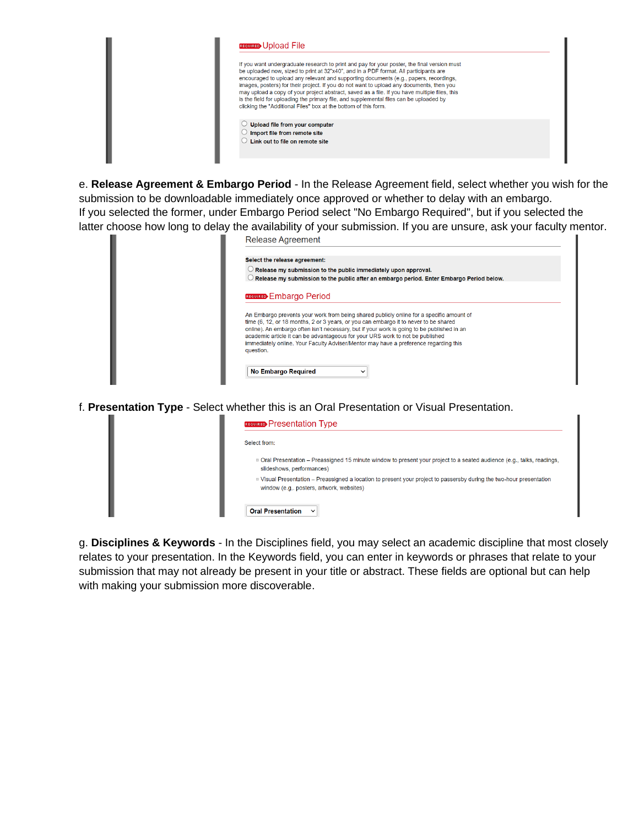

e. **Release Agreement & Embargo Period** - In the Release Agreement field, select whether you wish for the submission to be downloadable immediately once approved or whether to delay with an embargo. If you selected the former, under Embargo Period select "No Embargo Required", but if you selected the<br>latter chases how lang to delay the availability of your submission. If you are unsure, ask your faculty me.

|  | Select the release agreement:                                                                                                                                                    |
|--|----------------------------------------------------------------------------------------------------------------------------------------------------------------------------------|
|  | $\circlearrowright$ Release my submission to the public immediately upon approval.                                                                                               |
|  | $\circlearrowright$ Release my submission to the public after an embargo period. Enter Embargo Period below.                                                                     |
|  | <b>REQUIRED</b> Embargo Period                                                                                                                                                   |
|  | An Embargo prevents your work from being shared publicly online for a specific amount of<br>time (6, 12, or 18 months, 2 or 3 years, or you can embargo it to never to be shared |
|  | online). An embargo often isn't necessary, but if your work is going to be published in an<br>academic article it can be advantageous for your URS work to not be published      |
|  | immediately online. Your Faculty Adviser/Mentor may have a preference regarding this<br>question.                                                                                |
|  | No Embargo Required<br>$\check{ }$                                                                                                                                               |

f. **Presentation Type** - Select whether this is an Oral Presentation or Visual Presentation.

| <b>REQUIRED</b> Presentation Type                                                                                                                                 |
|-------------------------------------------------------------------------------------------------------------------------------------------------------------------|
| Select from:                                                                                                                                                      |
| □ Oral Presentation – Preassigned 15 minute window to present your project to a seated audience (e.g., talks, readings,<br>slideshows, performances)              |
| ■ Visual Presentation – Preassigned a location to present your project to passersby during the two-hour presentation<br>window (e.g,. posters, artwork, websites) |
| <b>Oral Presentation</b><br>$\checkmark$                                                                                                                          |

g. **Disciplines & Keywords** - In the Disciplines field, you may select an academic discipline that most closely relates to your presentation. In the Keywords field, you can enter in keywords or phrases that relate to your submission that may not already be present in your title or abstract. These fields are optional but can help with making your submission more discoverable.